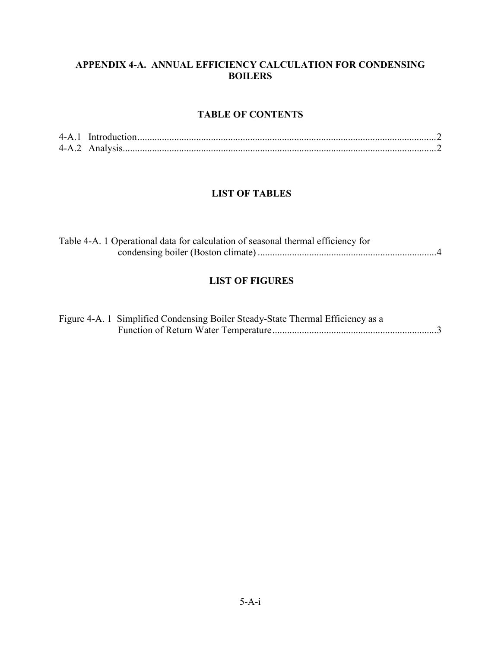## APPENDIX 4A. ANNUAL EFFICIENCY CALCULATION FOR CONDENSING **BOILERS**

## TABLE OF CONTENTS

## LIST OF TABLES

| Table 4-A. 1 Operational data for calculation of seasonal thermal efficiency for |  |
|----------------------------------------------------------------------------------|--|
|                                                                                  |  |

# LIST OF FIGURES

| Figure 4-A. 1 Simplified Condensing Boiler Steady-State Thermal Efficiency as a |
|---------------------------------------------------------------------------------|
|                                                                                 |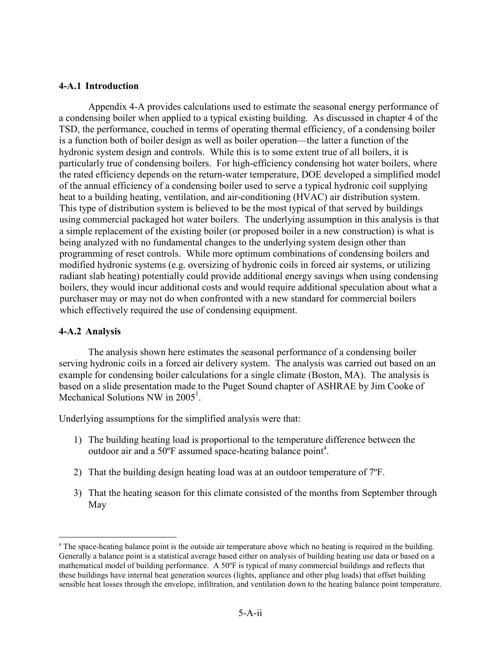#### 4A.1 Introduction

Appendix 4A provides calculations used to estimate the seasonal energy performance of a condensing boiler when applied to a typical existing building. As discussed in chapter 4 of the TSD, the performance, couched in terms of operating thermal efficiency, of a condensing boiler is a function both of boiler design as well as boiler operation—the latter a function of the hydronic system design and controls. While this is to some extent true of all boilers, it is particularly true of condensing boilers. For highefficiency condensing hot water boilers, where the rated efficiency depends on the return-water temperature, DOE developed a simplified model of the annual efficiency of a condensing boiler used to serve a typical hydronic coil supplying heat to a building heating, ventilation, and air-conditioning (HVAC) air distribution system. This type of distribution system is believed to be the most typical of that served by buildings using commercial packaged hot water boilers. The underlying assumption in this analysis is that a simple replacement of the existing boiler (or proposed boiler in a new construction) is what is being analyzed with no fundamental changes to the underlying system design other than programming of reset controls. While more optimum combinations of condensing boilers and modified hydronic systems (e.g. oversizing of hydronic coils in forced air systems, or utilizing radiant slab heating) potentially could provide additional energy savings when using condensing boilers, they would incur additional costs and would require additional speculation about what a purchaser may or may not do when confronted with a new standard for commercial boilers which effectively required the use of condensing equipment.

#### 4-A.2 Analysis

The analysis shown here estimates the seasonal performance of a condensing boiler serving hydronic coils in a forced air delivery system. The analysis was carried out based on an example for condensing boiler calculations for a single climate (Boston, MA). The analysis is based on a slide presentation made to the Puget Sound chapter of ASHRAE by Jim Cooke of Mechanical Solutions NW in  $2005<sup>1</sup>$ .

Underlying assumptions for the simplified analysis were that:

- 1) The building heating load is proportional to the temperature difference between the outdoor air and a 50°F assumed space-heating balance point<sup>a</sup>.
- 2) That the building design heating load was at an outdoor temperature of 7ºF.
- 3) That the heating season for this climate consisted of the months from September through May

<sup>&</sup>lt;sup>a</sup> The space-heating balance point is the outside air temperature above which no heating is required in the building. Generally a balance point is a statistical average based either on analysis of building heating use data or based on a mathematical model of building performance. A 50ºF is typical of many commercial buildings and reflects that these buildings have internal heat generation sources (lights, appliance and other plug loads) that offset building sensible heat losses through the envelope, infiltration, and ventilation down to the heating balance point temperature.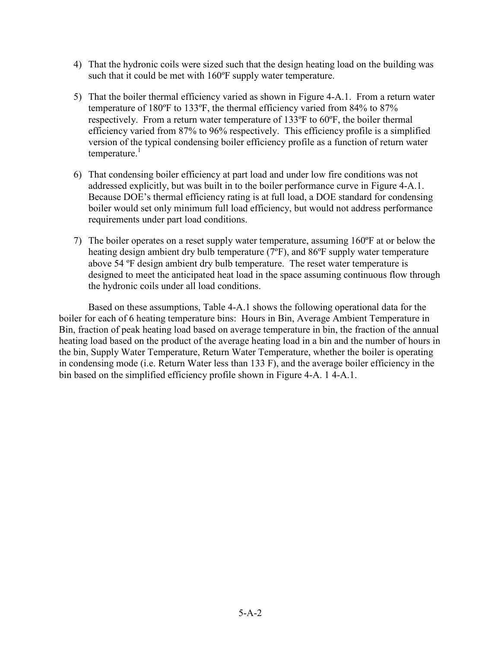- 4) That the hydronic coils were sized such that the design heating load on the building was such that it could be met with 160°F supply water temperature.
- 5) That the boiler thermal efficiency varied as shown in Figure 4A.1. From a return water temperature of 180ºF to 133ºF, the thermal efficiency varied from 84% to 87% respectively. From a return water temperature of 133ºF to 60ºF, the boiler thermal efficiency varied from 87% to 96% respectively. This efficiency profile is a simplified version of the typical condensing boiler efficiency profile as a function of return water  $temperature.<sup>1</sup>$
- 6) That condensing boiler efficiency at part load and under low fire conditions was not addressed explicitly, but was built in to the boiler performance curve in Figure 4-A.1. Because DOE's thermal efficiency rating is at full load, a DOE standard for condensing boiler would set only minimum full load efficiency, but would not address performance requirements under part load conditions.
- 7) The boiler operates on a reset supply water temperature, assuming 160ºF at or below the heating design ambient dry bulb temperature (7ºF), and 86ºF supply water temperature above 54 ºF design ambient dry bulb temperature. The reset water temperature is designed to meet the anticipated heat load in the space assuming continuous flow through the hydronic coils under all load conditions.

Based on these assumptions, Table 4-A.1 shows the following operational data for the boiler for each of 6 heating temperature bins: Hours in Bin, Average Ambient Temperature in Bin, fraction of peak heating load based on average temperature in bin, the fraction of the annual heating load based on the product of the average heating load in a bin and the number of hours in the bin, Supply Water Temperature, Return Water Temperature, whether the boiler is operating in condensing mode (i.e. Return Water less than 133 F), and the average boiler efficiency in the bin based on the simplified efficiency profile shown in Figure 4-A, 14-A, 1.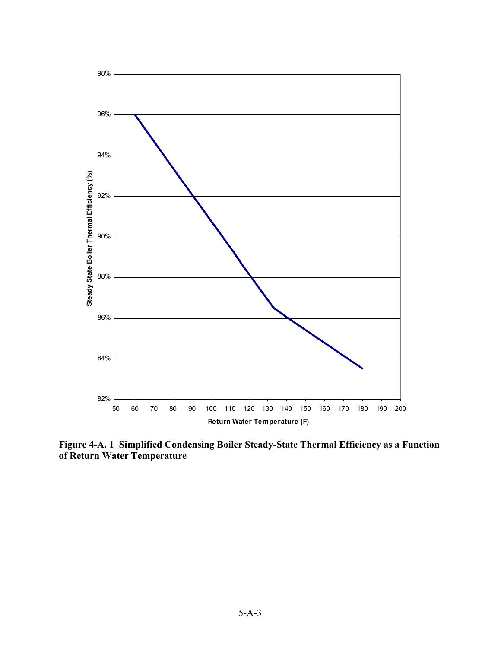

Figure 4-A. 1 Simplified Condensing Boiler Steady-State Thermal Efficiency as a Function of Return Water Temperature